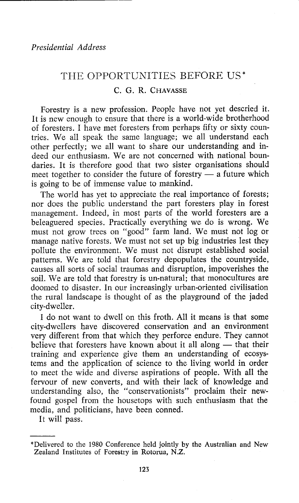## THE OPPORTUNITIES BEFORE US\*

## C. G. R. CHAVASSE

Forestry is a new profession. People have not yet descried it. It is new enough to ensure that there is a world-wide brotherhood of foresters. I have met foresters from perhaps fifty or sixty countries. We all speak the same language; we all understand each other perfectly; we all want to share our understanding and indeed our enthusiasm. We are not concerned with national boundaries. It is therefore good that two sister organisations should deed our enthusiasm. We are not concerned with national boundaries. It is therefore good that two sister organisations should meet together to consider the future of forestry — a future which is going to be of immense value to mankind.

The world has yet to appreciate the real importance of forests; nor does the public understand the part foresters play in forest management. Indeed, in most parts of the world foresters are **3**  beleaguered species. Practically everything we do is wrong. We must not grow trees on "good" farm land. We must not log or manage native forests. We must not set up big industries lest they pollute the environment. We must not disrupt established social patterns. We are told that forestry depopulates the countryside, causes all sorts of social traumas and disruption, impoverishes the soil. We are told that forestry is un-natural; that monocultures are doomed to disaster. In our increasingly urban-oriented civilisation the rural landscape is thought of as the playground of the jaded city-dweller.

I do not want to dwell on this froth. All it means is that some city-dwellers have discovered conservation and an environment very different from that which they perforce endure. They cannot believe that foresters have known about it all along - that their training and experience give them an understanding of ecosystems and the application of science to the living world in order to meet the wide and diverse aspirations of people. With all the fervour of new converts, and with their lack of knowledge and understanding also, the "conservationists" proclaim their newfound gospel from the housetops with such enthusiasm that the media, and politicians, have been conned.

It will pass.

<sup>\*</sup>Delivered to the 1980 Conference held jointly by the Australian and New Zealand Institutes of Forestry in Rotorua, N.Z.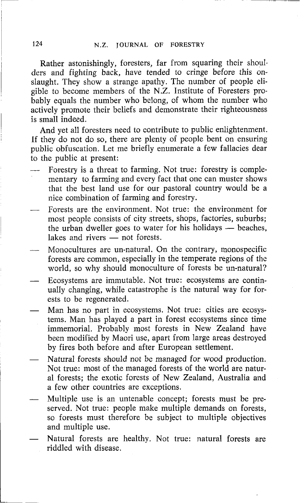Rather astonishingly, foresters, far from squaring their shoulders and fighting back, have tended to cringe before this onslaught. They show a strange apathy. The number of people eligible to become members of the N.Z. Institute of Foresters probably equals the number who belong, of whom the number who actively promote their beliefs and demonstrate their righteousness is small indeed.

And yet all foresters need to contribute to public enlightenment. If they do not do so, there are plenty of people bent on ensuring public obfuscation. Let me briefly enumerate a few fallacies dear to the public at present:

- Forestry is a threat to farming. Not true: forestry is complementary to farming and every fact that one can muster shows that the best land use for our pastoral country would be a nice combination of farming and forestry.
- Forests are the environment. Not true: the environment for most people consists of city streets, shops, factories, suburbs; Forests are the environment. Not true: the environment for most people consists of city streets, shops, factories, suburbs; the urban dweller goes to water for his holidays — beaches, lakes and tivers the urban dweller goes to water for his holidays — beaches, lakes and rivers — not forests.
- Monocultures are un-natural. On the contrary, monospecific forests are common, especially in the temperate regions of the world, so why should monoculture of forests be un-natural?
- Ecosystems are immutable. Not true: ecosystems are continuaIIy changing, while catastrophe is the natural way for forests to be regenerated.
- Man has no part in ecosystems. Not true: cities are ecosystems. Man has played a part in forest ecosystems since time immemorial. Probably most forests in New Zealand have been modified by Maori use, apart from large areas destroyed by fires both before and after European settlement.
- Natural forests should not be managed for wood production. Not true: most of the managed forests of the world are natural forests; the exotic forests of New Zealand, Australia and a few other countries are exceptions.
- Multiple use is an untenable concept; forests must be preserved. Not true: people make multiple demands on forests, so forests must therefore be subject to multiple objectives and multiple use.
- Natural forests are healthy. Not true: natural forests are riddled with disease.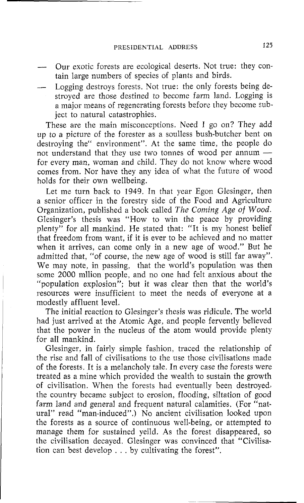- Our exotic forests are ecological deserts. Not true: they contain large numbers of species of plants and birds.
- Logging destroys forests. Not true: the only forests being destroyed are those destined to become farm land. Logging is a major means of regenerating forests before they become subject to natural catastrophies.

These are the main misconceptions. Need I go on? They add up to a picture of the forester as a soulless bush-butcher bent on destroying the" environment". At the same time, the people do not understand that they use two tonnes of wood per annum for every man, woman and child. They do not know where wood comes from. Nor have they any idea of what the future of wood holds for their own wellbeing.

Let me turn back to 1949. In that year Egon Glesinger, then a senior officer in the forestry side of the Food and Agriculture Organization, published a book called The Coming *Age* of Wood. Glesinger's thesis was "How to win the peace by providing plenty" for all mankind. He stated that: "It is my honest belief that freedom from want, if it is ever to be achieved and no matter when it arrives, can come only in a new age of wood." But he admitted that, "of course, the new age of wood is still far away". We may note, in passing, that the world's population was then some 2000 mllion people, and no one had felt anxious about the "population explosion"; but it was clear then that the world's resources were insufficient to meet the needs of everyone at a modestly affluent level.

The initial reaction to Glesinger's thesis was ridicule. The world had just arrived at the Atomic Age, and people fervently believed that the power in the nucleus of the atom would provide plenty for all mankind.

Glesinger, in fairly simple fashion, traced the relationship of the rise and fall of civilisations to the use those civilisations made of the forests. It is a melancholy tale. In every case the forests were treated as a mine which provided the wealth to sustain the growth of civilisation. When the forests had eventually been destroyed, the country became subject to erosion, flooding, siltation of good farm land and general and frequent natural calamities. (For "natural" read "man-induced".) No ancient civilisation looked upon the forests as a source of continuous well-being, or attempted to manage them for sustained yeild. As the forest disappeared, so the civilisation decayed. Glesinger was convinced that "Civilisation can best develop . . . by cultivating the forest".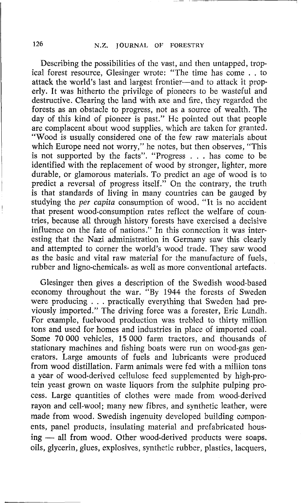Describing the possibilities of the vast, and then untapped, tropical forest resource, Glesinger wrote: "The time has come . . to attack the world's last and largest frontier—and to attack it properly. It was hitherto the privilege of pioneers to be wasteful and destructive. Clearing the land with axe and fire, they regarded the forests as an obstacle to progress, not as a source of wealth. The day of this kind of pioneer is past." He pointed out that people are complacent about wood supplies, which are taken for granted. "Wood is usually considered one of the few raw materials about which Europe need not worry," he notes, but then observes, "This is not supported by the facts". "Progress . . . has come to be identified with the replacement of wood by stronger, lighter, more durable, or glamorous materials. To predict an age of wood is to predict a reversal of progress itself." On the contrary, the truth is that standards of living in many countries can be gauged by studying the *per capita* consumption of wood. "It is no accident that present wood-consumption rates reflect the welfare of countries, because all through history forests have exercised a decisive influence on the fate of nations." In this connection it was interesting that the Nazi administration in Germany saw this clearly and attempted to corner the world's wood trade. They saw wood as the basic and vital raw material for the manufacture of fuels, rubber and ligno-chemicals, as well as more conventional artefacts.

Glesinger then gives a description of the Swedish wood-based economy throughout the war. "By 1944 the forests of Sweden were producing . . . practically everything that Sweden had previously imported." The driving force was a forester, Eric Lundh. For example, fuelwood production was trebled to thirty million tons and used for homes and industries in place of imported coal. Some 70 000 vehicles, 15 000 farm tractors, and thousands of stationary machines and fishing boats were run on wood-gas generators. Large amounts of fuels and lubricants were produced from wood distillation. Farm animals were fed with a million tons a year of wood-derived cellulose feed supplemented by high-protein yeast grown on waste liquors from the sulphite pulping process. Large quantities of clothes were made from wood-derived rayon and cell-wod; many new fibres, and synthetic leather, were made from wood. Swedish ingenuity developed building components, panel products, insulating material and prefabricated housing — all from wood. Other wood-derived products were soaps, oils, glycerin, glues, explosives, synthetic rubber, plastics, lacquers,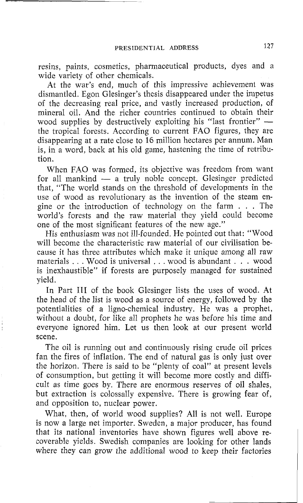resins, paints, cosmetics, pharmaceutical products, dyes and a wide variety of other chemicals.

At the war's end, much of this impressive achievement was dismantled. Egon Glesinger's thesis disappeared under the impetus of the decreasing real price, and vastly increased production, of mineral oil. And the richer countries continued to obtain their wood supplies by destructively exploiting his "last frontier" the tropical forests. According to current FAO figures, they are disappearing at a rate close to 16 million hectares per annum. Man is, in a word, back at his old game, hastening the time of retribution.

When FA0 was formed, its objective was freedom from want tion.<br>When FAO was formed, its objective was freedom from want<br>for all mankind — a truly noble concept. Glesinger predicted<br>that "The world stands on the threshold of developments in the that, "The world stands on the threshold of developments in the use of wood as revolutionary as the invention of the steam engine or the introduction of technology on the farm . . . The world's forests and the raw material they yield could become one of the most significant features of the new age."

His enthusiasm was not ill-founded. He pointed out that: "Wood will become the characteristic raw material of our civilisation because it has three attributes which make it unique among all raw materials . . . Wood is universal . . . wood is abundant . . . wood is inexhaustible" if forests are purposely managed for sustained yield.

In Part I11 of the book Glesinger lists the uses of wood. At the head of the list is wood as a source of energy, followed by the potentialities of a ligno-chemical industry. He was a prophet, without a doubt, for like all prophets he was before his time and everyone ignored him. Let us then look at our present world scene.

The oil is running out and continuously rising crude oil prices fan the fires of inflation. The end of natural gas is only just over the horizon. There is said to be "plenty of coal" at present levels of consumption, but getting it will become more costly and difficult as time goes by. There are enormous reserves of oil shales, but extraction is colossally expensive. There is growing fear of, and opposition to, nuclear power.

What, then, of world wood supplies? All is not well. Europe is now a large net importer. Sweden, a major producer, has found that its national inventories have shown figures well above recoverable yields. Swedish companies are looking for other lands where they can grow the additional wood to keep their factories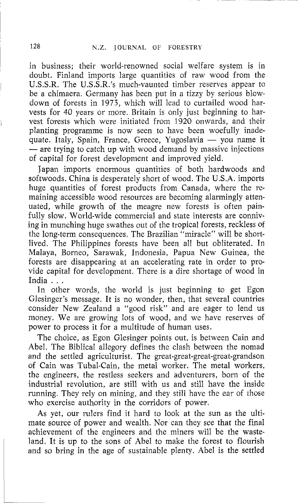## 128 N.Z. **IOURNAL** OF FORESTRY

in business; their world-renowned social welfare system is in doubt. Finland imports large quantities of raw wood from the U.S.S.R. The U.S.S.R.'s much-vaunted timber reserves appear to be a chimaera. Germany has been put in a tizzy by serious blowdown of forests in 1973, which will lead to curtailed wood harvests for 40 years or more. Britain is only just beginning to harvest forests which were initiated from 1920 onwards, and their planting programme is now seen to have been woefully inadevest forests which were initiated from 1920 onwards, and their<br>planting programme is now seen to have been woefully inade-<br>quate. Italy, Spain, France, Greece, Yugoslavia — you name it<br>— are trying to oatsh un with wood de planting programme is now seen to have been woetully inade-<br>quate. Italy, Spain, France, Greece, Yugoslavia — you name it<br>— are trying to catch up with wood demand by massive injections<br>of capital for forest development an of capital for forest development and improved yield.

Japan imports enormous quantities of both hardwoods and softwoods. China is desperately short of wood. The U.S.A. imports huge quantities of forest products from Canada, where the remaining accessible wood resources are becoming alarmingly attenuated, while growth of the meagre new forests is often painfully slow. World-wide commercial and state interests are conniving in munching huge swathes out of the tropical forests, reckless of the long-term consequences. The Brazilian "miracle" will be shortlived. The Philippines forests have been all but obliterated. In Malaya, Borneo, Sarawak, Indonesia, Papua New Guinea, the forests are disappearing at an accelerating rate in order to provide capital for development. There is a dire shortage of wood in India . . .

In other words, the world is just beginning to get Egon Glesinger's message. It is no wonder, then, that several countries consider New Zealand a "good risk" and are eager to lend us money. We are growing lots of wood, and we have reserves of power to process it for a multitude of human uses.

The choice, as Egon Glesinger points out, is between Cain and Abel. The Biblical allegory defines the clash between the nomad and the settled agriculturist. The great-great-great-great-grandson of Cain was Tubal-Cain, the metal worker. The metal workers, the engineers, the restless seekers and adventurers, born of the industrial revolution, are still with us and still have the inside running. They rely on mining, and they still have the ear of those who exercise authority in the corridors of power.

As yet, our rulers find it hard to look at the sun as the ultimate source of power and wealth. Nor can they see that the final achievement of the engineers and the miners will be the wasteland. It is up to the sons of Abel to make the forest to flourish and so bring in the age of sustainable plenty. Abel is the settled